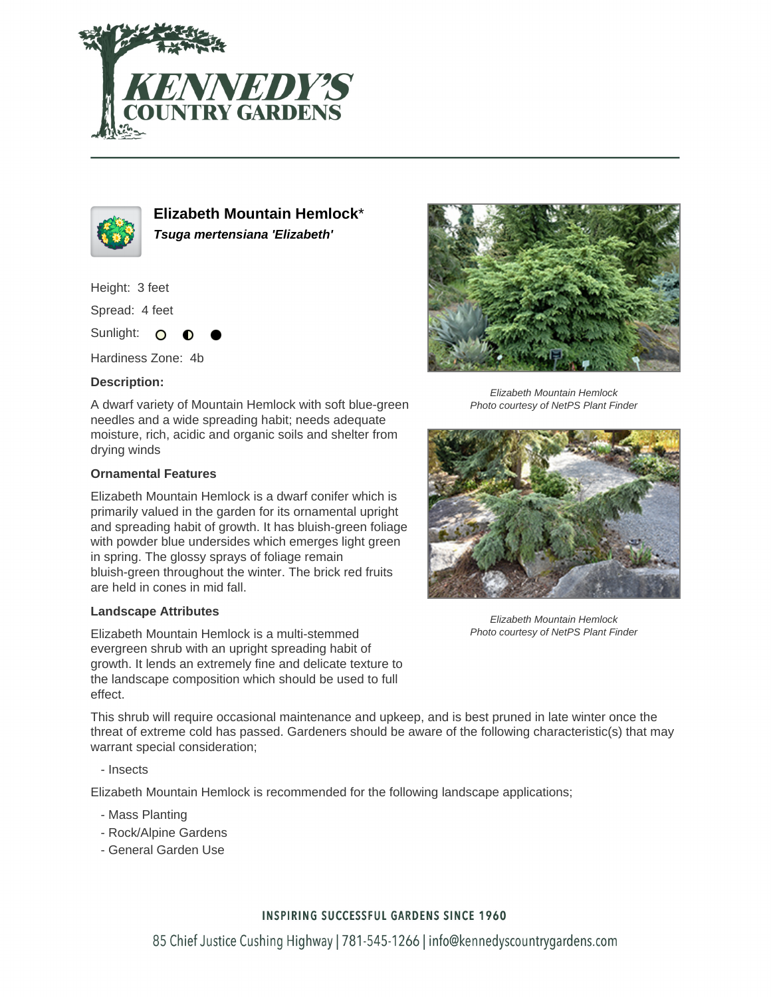



**Elizabeth Mountain Hemlock**\* **Tsuga mertensiana 'Elizabeth'**

Height: 3 feet

Spread: 4 feet

Sunlight: O

Hardiness Zone: 4b

### **Description:**

A dwarf variety of Mountain Hemlock with soft blue-green needles and a wide spreading habit; needs adequate moisture, rich, acidic and organic soils and shelter from drying winds

#### **Ornamental Features**

Elizabeth Mountain Hemlock is a dwarf conifer which is primarily valued in the garden for its ornamental upright and spreading habit of growth. It has bluish-green foliage with powder blue undersides which emerges light green in spring. The glossy sprays of foliage remain bluish-green throughout the winter. The brick red fruits are held in cones in mid fall.

#### **Landscape Attributes**

Elizabeth Mountain Hemlock is a multi-stemmed evergreen shrub with an upright spreading habit of growth. It lends an extremely fine and delicate texture to the landscape composition which should be used to full effect.

This shrub will require occasional maintenance and upkeep, and is best pruned in late winter once the threat of extreme cold has passed. Gardeners should be aware of the following characteristic(s) that may warrant special consideration;

- Insects

Elizabeth Mountain Hemlock is recommended for the following landscape applications;

- Mass Planting
- Rock/Alpine Gardens
- General Garden Use



Elizabeth Mountain Hemlock Photo courtesy of NetPS Plant Finder



Elizabeth Mountain Hemlock Photo courtesy of NetPS Plant Finder

## **INSPIRING SUCCESSFUL GARDENS SINCE 1960**

85 Chief Justice Cushing Highway | 781-545-1266 | info@kennedyscountrygardens.com